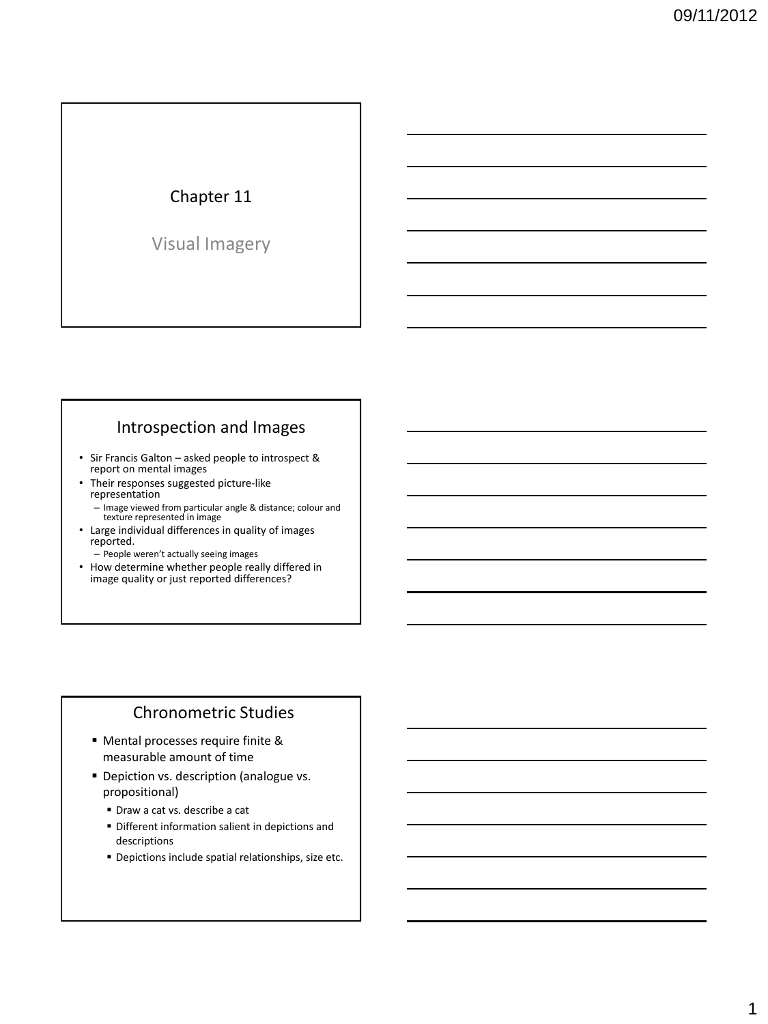# Chapter 11

Visual Imagery

# Introspection and Images

- Sir Francis Galton asked people to introspect & report on mental images
- Their responses suggested picture-like representation
	- Image viewed from particular angle & distance; colour and texture represented in image
- Large individual differences in quality of images reported.
	- People weren't actually seeing images
- How determine whether people really differed in image quality or just reported differences?

## Chronometric Studies

- Mental processes require finite & measurable amount of time
- **Depiction vs. description (analogue vs.** propositional)
	- Draw a cat vs. describe a cat
	- Different information salient in depictions and descriptions
	- Depictions include spatial relationships, size etc.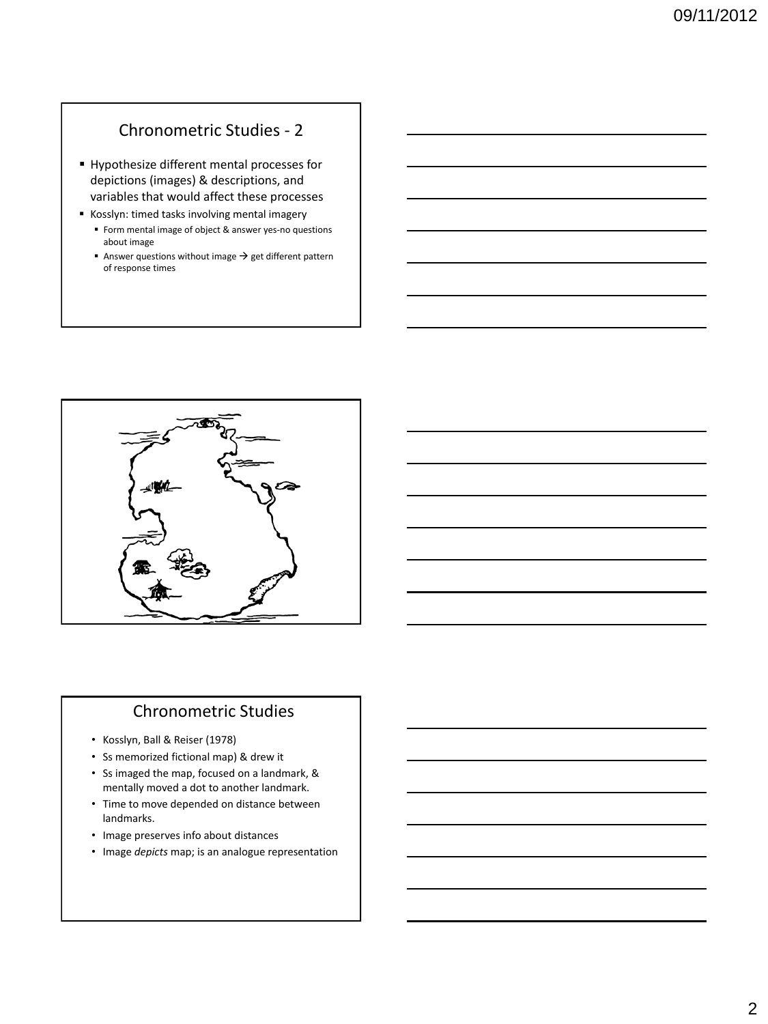## Chronometric Studies - 2

- Hypothesize different mental processes for depictions (images) & descriptions, and variables that would affect these processes
- Kosslyn: timed tasks involving mental imagery
	- Form mental image of object & answer yes-no questions about image
	- Answer questions without image  $\rightarrow$  get different pattern of response times



#### Chronometric Studies

- Kosslyn, Ball & Reiser (1978)
- Ss memorized fictional map) & drew it
- Ss imaged the map, focused on a landmark, & mentally moved a dot to another landmark.
- Time to move depended on distance between landmarks.
- Image preserves info about distances
- Image *depicts* map; is an analogue representation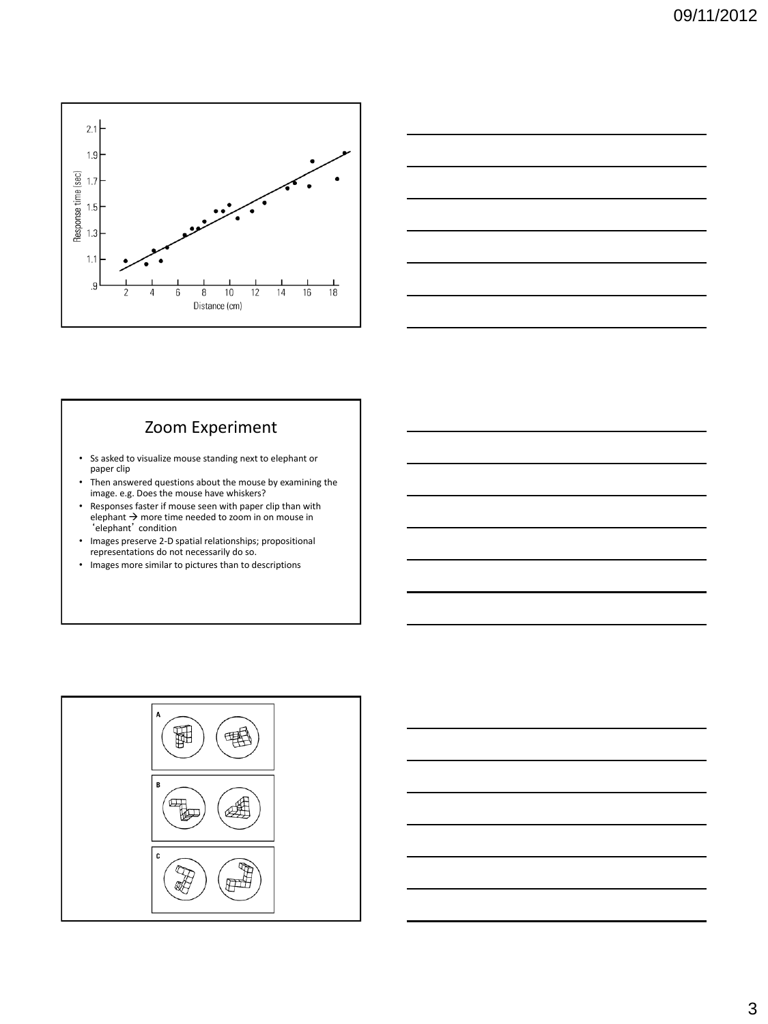



## Zoom Experiment

- Ss asked to visualize mouse standing next to elephant or paper clip
- Then answered questions about the mouse by examining the image. e.g. Does the mouse have whiskers?
- Responses faster if mouse seen with paper clip than with elephant  $\rightarrow$  more time needed to zoom in on mouse in 'elephant' condition
- Images preserve 2-D spatial relationships; propositional representations do not necessarily do so.
- Images more similar to pictures than to descriptions

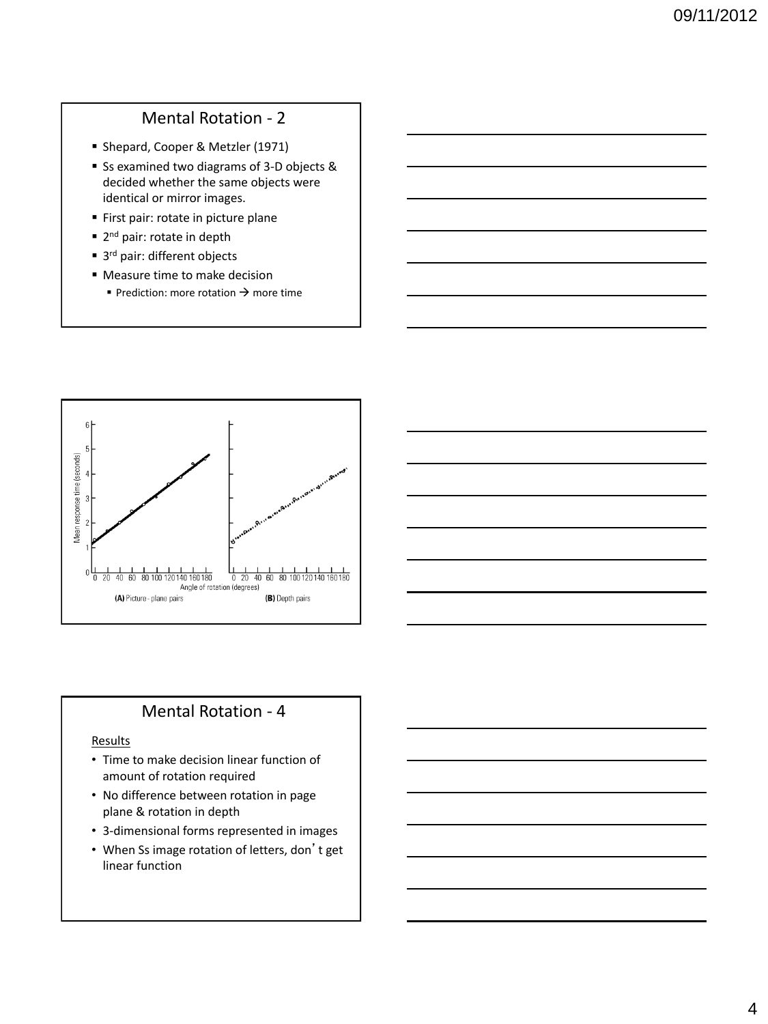## Mental Rotation - 2

- Shepard, Cooper & Metzler (1971)
- Ss examined two diagrams of 3-D objects & decided whether the same objects were identical or mirror images.
- **First pair: rotate in picture plane**
- 2<sup>nd</sup> pair: rotate in depth
- 3<sup>rd</sup> pair: different objects
- Measure time to make decision Prediction: more rotation  $\rightarrow$  more time



#### Mental Rotation - 4

#### Results

- Time to make decision linear function of amount of rotation required
- No difference between rotation in page plane & rotation in depth
- 3-dimensional forms represented in images
- When Ss image rotation of letters, don't get linear function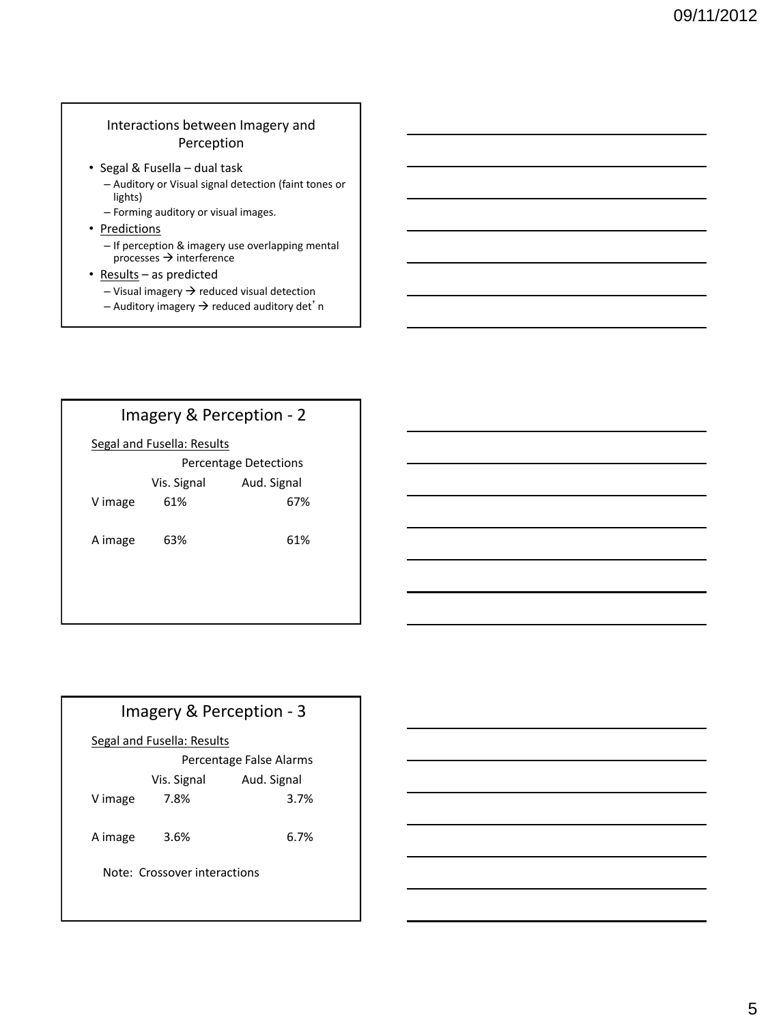#### Interactions between Imagery and Perception

- Segal & Fusella dual task
	- Auditory or Visual signal detection (faint tones or lights)
	- Forming auditory or visual images.
- Predictions
	- If perception & imagery use overlapping mental  $processes \rightarrow interference$
- Results as predicted
	- $-$  Visual imagery  $\rightarrow$  reduced visual detection
	- Auditory imagery  $\rightarrow$  reduced auditory det'n

### Imagery & Perception - 2

#### Segal and Fusella: Results

|         | <b>Percentage Detections</b> |             |
|---------|------------------------------|-------------|
|         | Vis. Signal                  | Aud. Signal |
| V image | 61%                          | 67%         |
| A image | 63%                          | 61%         |

# Imagery & Perception - 3

#### Segal and Fusella: Results

|                              | Percentage False Alarms |             |  |  |
|------------------------------|-------------------------|-------------|--|--|
|                              | Vis. Signal             | Aud. Signal |  |  |
| V image                      | 7.8%                    | 3.7%        |  |  |
| A image                      | 3.6%                    | 6.7%        |  |  |
| Note: Crossover interactions |                         |             |  |  |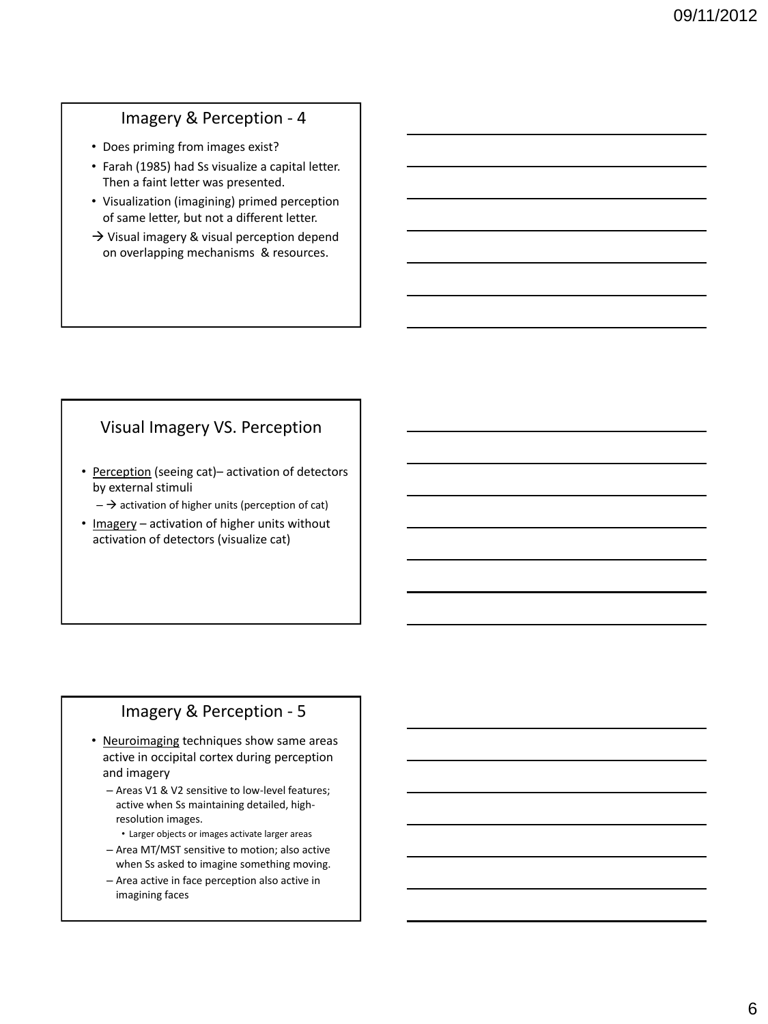## Imagery & Perception - 4

- Does priming from images exist?
- Farah (1985) had Ss visualize a capital letter. Then a faint letter was presented.
- Visualization (imagining) primed perception of same letter, but not a different letter.
- $\rightarrow$  Visual imagery & visual perception depend on overlapping mechanisms & resources.

# Visual Imagery VS. Perception

- Perception (seeing cat)– activation of detectors by external stimuli
	- $-\rightarrow$  activation of higher units (perception of cat)
- Imagery activation of higher units without activation of detectors (visualize cat)

## Imagery & Perception - 5

- Neuroimaging techniques show same areas active in occipital cortex during perception and imagery
	- Areas V1 & V2 sensitive to low-level features; active when Ss maintaining detailed, highresolution images.
	- Larger objects or images activate larger areas
	- Area MT/MST sensitive to motion; also active when Ss asked to imagine something moving.
	- Area active in face perception also active in imagining faces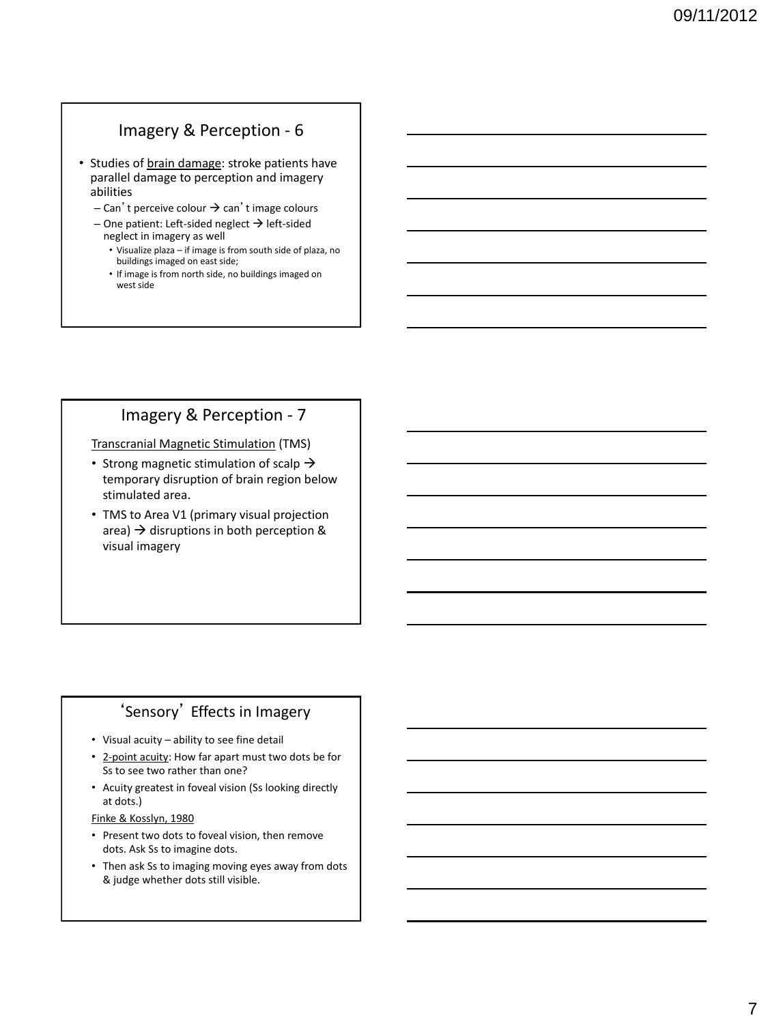## Imagery & Perception - 6

- Studies of brain damage: stroke patients have parallel damage to perception and imagery abilities
	- $-$  Can't perceive colour  $\rightarrow$  can't image colours
	- $-$  One patient: Left-sided neglect  $\rightarrow$  left-sided neglect in imagery as well
		- Visualize plaza if image is from south side of plaza, no buildings imaged on east side;
		- If image is from north side, no buildings imaged on west side

### Imagery & Perception - 7

Transcranial Magnetic Stimulation (TMS)

- Strong magnetic stimulation of scalp  $\rightarrow$ temporary disruption of brain region below stimulated area.
- TMS to Area V1 (primary visual projection area)  $\rightarrow$  disruptions in both perception & visual imagery

# 'Sensory' Effects in Imagery

- Visual acuity ability to see fine detail
- 2-point acuity: How far apart must two dots be for Ss to see two rather than one?
- Acuity greatest in foveal vision (Ss looking directly at dots.)

Finke & Kosslyn, 1980

- Present two dots to foveal vision, then remove dots. Ask Ss to imagine dots.
- Then ask Ss to imaging moving eyes away from dots & judge whether dots still visible.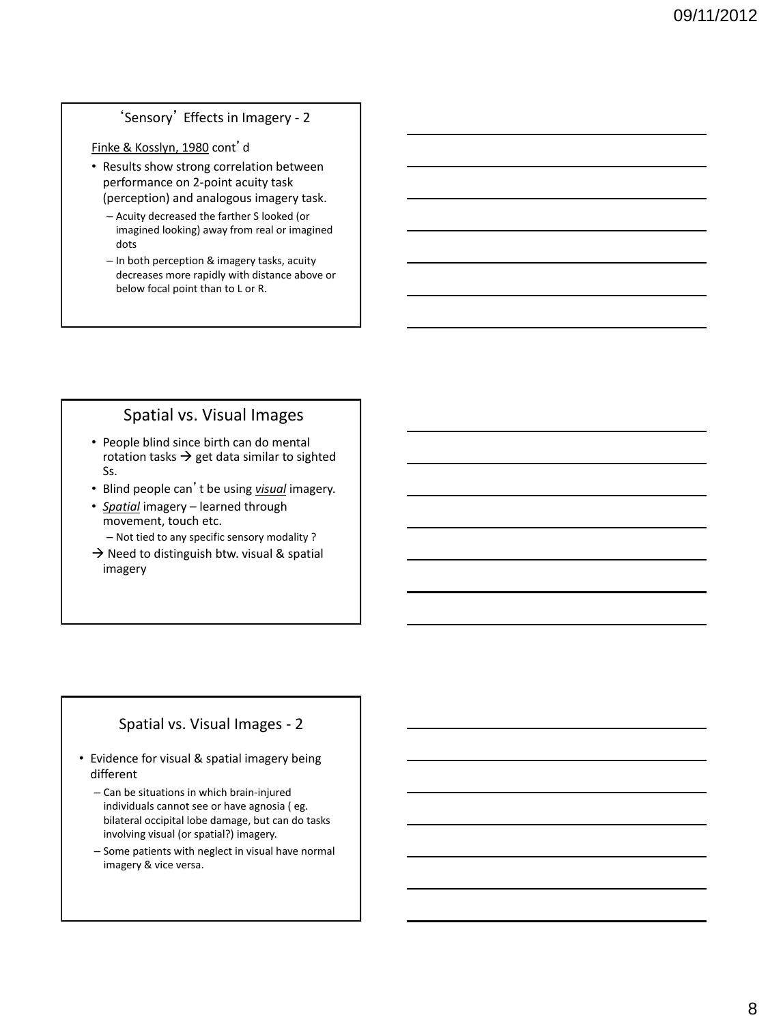#### 'Sensory' Effects in Imagery - 2

Finke & Kosslyn, 1980 cont'd

- Results show strong correlation between performance on 2-point acuity task (perception) and analogous imagery task.
	- Acuity decreased the farther S looked (or imagined looking) away from real or imagined dots
	- In both perception & imagery tasks, acuity decreases more rapidly with distance above or below focal point than to L or R.

#### Spatial vs. Visual Images

- People blind since birth can do mental rotation tasks  $\rightarrow$  get data similar to sighted Ss.
- Blind people can't be using *visual* imagery.
- *Spatial* imagery learned through movement, touch etc.
	- Not tied to any specific sensory modality ?
- $\rightarrow$  Need to distinguish btw. visual & spatial imagery

#### Spatial vs. Visual Images - 2

- Evidence for visual & spatial imagery being different
	- Can be situations in which brain-injured individuals cannot see or have agnosia ( eg. bilateral occipital lobe damage, but can do tasks involving visual (or spatial?) imagery.
	- Some patients with neglect in visual have normal imagery & vice versa.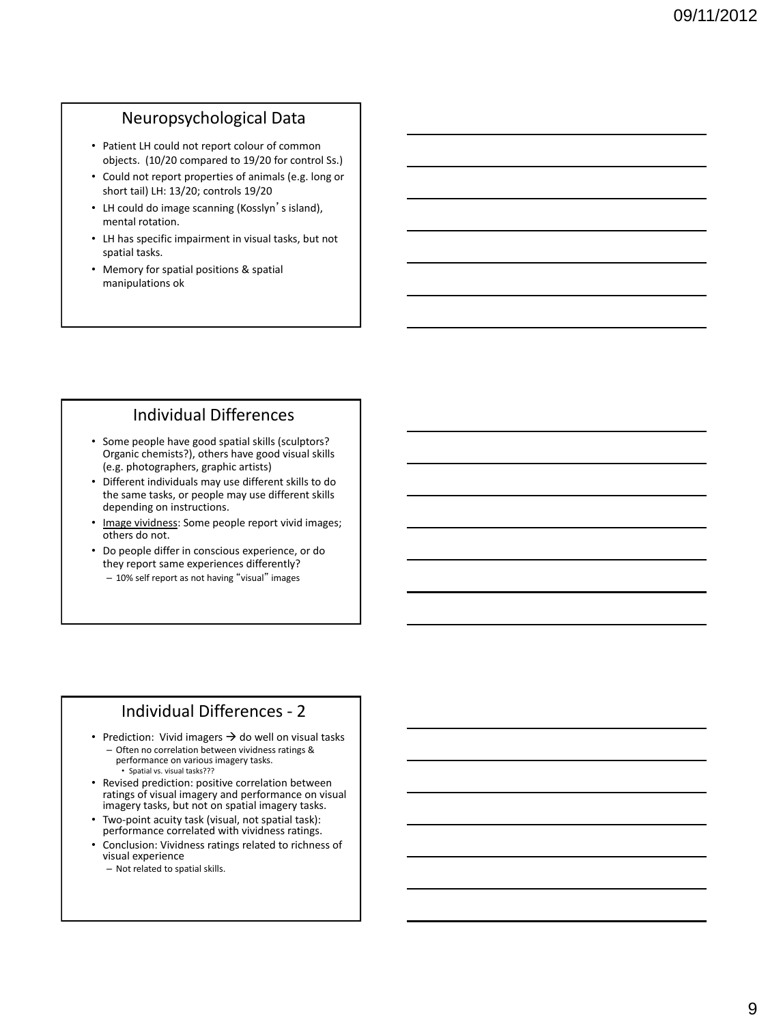#### Neuropsychological Data

- Patient LH could not report colour of common objects. (10/20 compared to 19/20 for control Ss.)
- Could not report properties of animals (e.g. long or short tail) LH: 13/20; controls 19/20
- LH could do image scanning (Kosslyn's island), mental rotation.
- LH has specific impairment in visual tasks, but not spatial tasks.
- Memory for spatial positions & spatial manipulations ok

#### Individual Differences

- Some people have good spatial skills (sculptors? Organic chemists?), others have good visual skills (e.g. photographers, graphic artists)
- Different individuals may use different skills to do the same tasks, or people may use different skills depending on instructions.
- Image vividness: Some people report vivid images; others do not.
- Do people differ in conscious experience, or do they report same experiences differently?
- 10% self report as not having "visual" images

#### Individual Differences - 2

- Prediction: Vivid imagers  $\rightarrow$  do well on visual tasks – Often no correlation between vividness ratings & performance on various imagery tasks. • Spatial vs. visual tasks???
- Revised prediction: positive correlation between ratings of visual imagery and performance on visual imagery tasks, but not on spatial imagery tasks.
- Two-point acuity task (visual, not spatial task): performance correlated with vividness ratings.
- Conclusion: Vividness ratings related to richness of visual experience
	- Not related to spatial skills.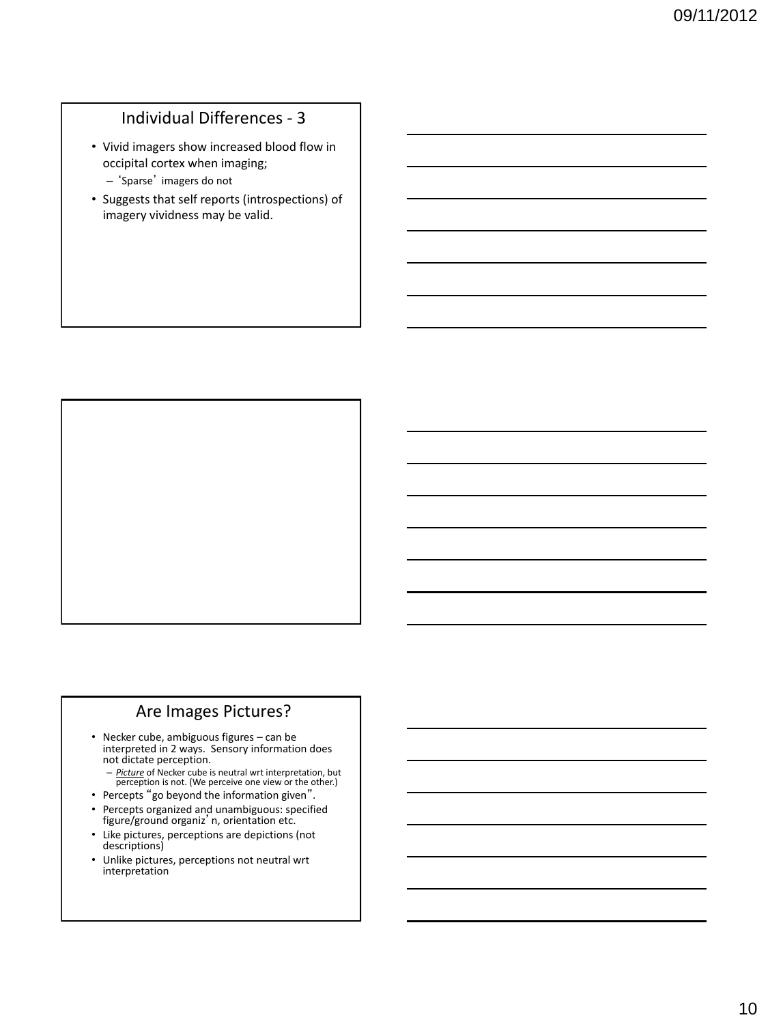# Individual Differences - 3

- Vivid imagers show increased blood flow in occipital cortex when imaging;
	- 'Sparse' imagers do not
- Suggests that self reports (introspections) of imagery vividness may be valid.

#### Are Images Pictures?

- Necker cube, ambiguous figures can be interpreted in 2 ways. Sensory information does not dictate perception.
	- *Picture* of Necker cube is neutral wrt interpretation, but perception is not. (We perceive one view or the other.)
- Percepts "go beyond the information given".
- Percepts organized and unambiguous: specified figure/ground organiz'n, orientation etc.
- Like pictures, perceptions are depictions (not descriptions)
- Unlike pictures, perceptions not neutral wrt interpretation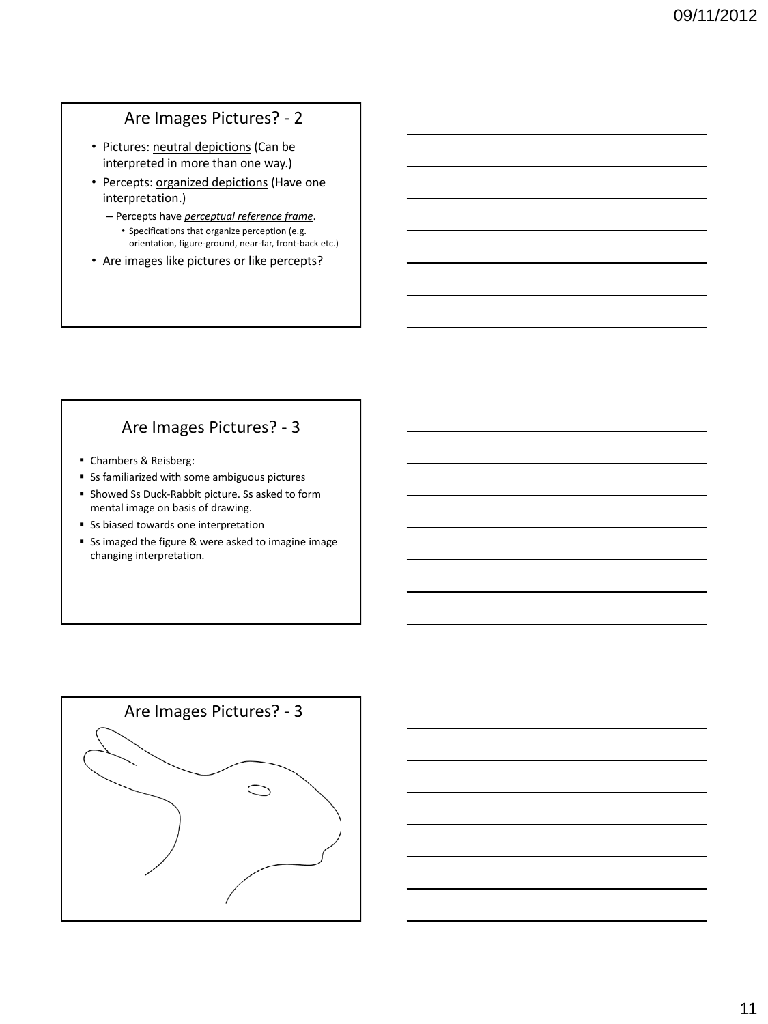# Are Images Pictures? - 2

- Pictures: neutral depictions (Can be interpreted in more than one way.)
- Percepts: organized depictions (Have one interpretation.)
	- Percepts have *perceptual reference frame*. • Specifications that organize perception (e.g. orientation, figure-ground, near-far, front-back etc.)
- Are images like pictures or like percepts?

### Are Images Pictures? - 3

- Chambers & Reisberg:
- Ss familiarized with some ambiguous pictures
- **Showed Ss Duck-Rabbit picture. Ss asked to form** mental image on basis of drawing.
- Ss biased towards one interpretation
- Ss imaged the figure & were asked to imagine image changing interpretation.

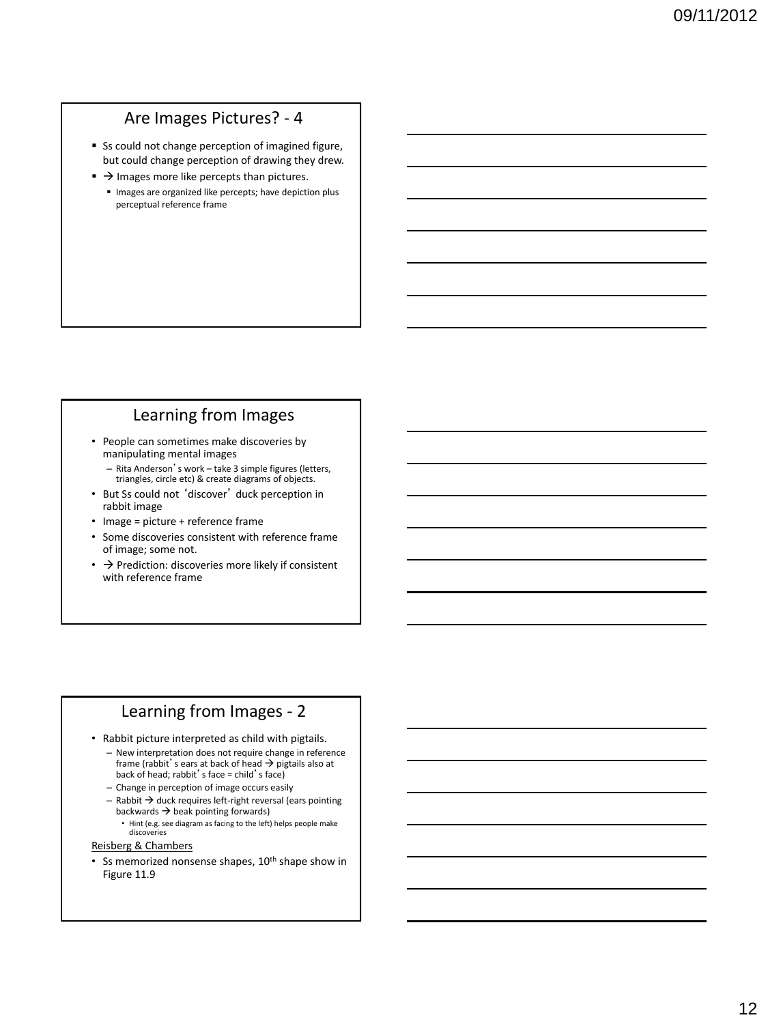# Are Images Pictures? - 4

- **Ss could not change perception of imagined figure,** but could change perception of drawing they drew.
- $\rightarrow$  Images more like percepts than pictures.
- Images are organized like percepts; have depiction plus perceptual reference frame

#### Learning from Images

- People can sometimes make discoveries by manipulating mental images
	- Rita Anderson's work take 3 simple figures (letters, triangles, circle etc) & create diagrams of objects.
- But Ss could not 'discover' duck perception in rabbit image
- Image = picture + reference frame
- Some discoveries consistent with reference frame of image; some not.
- $\cdot$   $\rightarrow$  Prediction: discoveries more likely if consistent with reference frame

#### Learning from Images - 2

- Rabbit picture interpreted as child with pigtails.
	- New interpretation does not require change in reference frame (rabbit's ears at back of head  $\rightarrow$  pigtails also at back of head; rabbit's face = child's face)
	- Change in perception of image occurs easily
	- $-$  Rabbit  $\rightarrow$  duck requires left-right reversal (ears pointing backwards  $\rightarrow$  beak pointing forwards)
		- Hint (e.g. see diagram as facing to the left) helps people make discoveries

#### Reisberg & Chambers

• Ss memorized nonsense shapes,  $10<sup>th</sup>$  shape show in Figure 11.9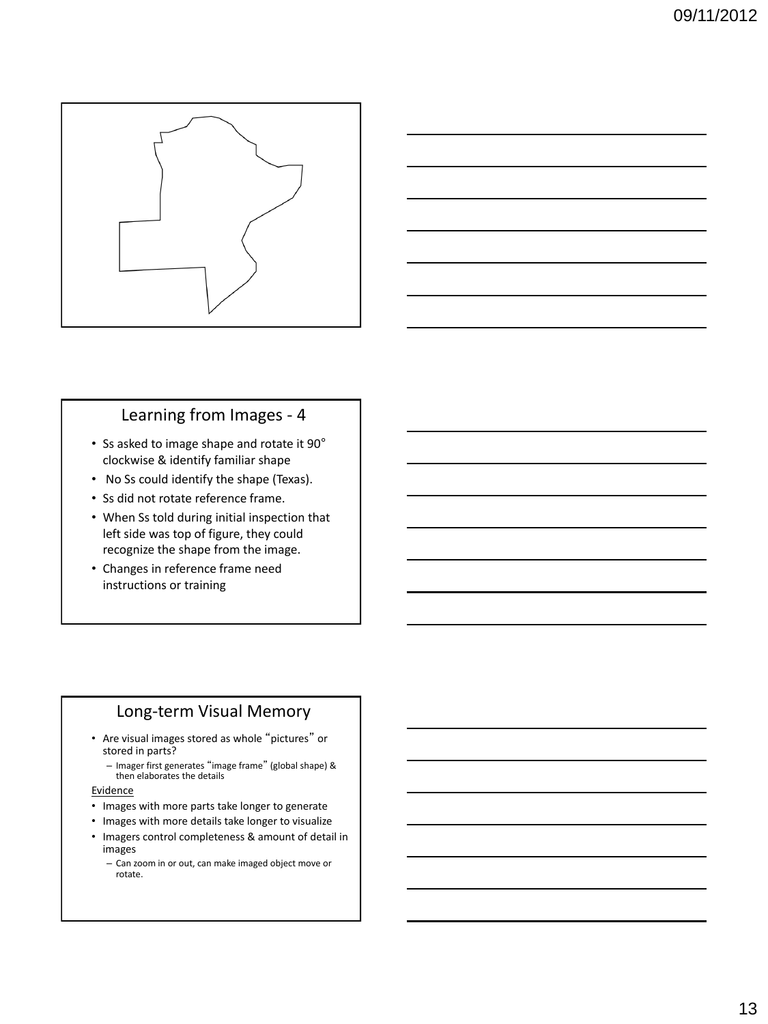



### Learning from Images - 4

- Ss asked to image shape and rotate it 90° clockwise & identify familiar shape
- No Ss could identify the shape (Texas).
- Ss did not rotate reference frame.
- When Ss told during initial inspection that left side was top of figure, they could recognize the shape from the image.
- Changes in reference frame need instructions or training

## Long-term Visual Memory

- Are visual images stored as whole "pictures" or stored in parts?
	- Imager first generates "image frame" (global shape) & then elaborates the details

**Evidence** 

- Images with more parts take longer to generate
- Images with more details take longer to visualize
- Imagers control completeness & amount of detail in images
	- Can zoom in or out, can make imaged object move or rotate.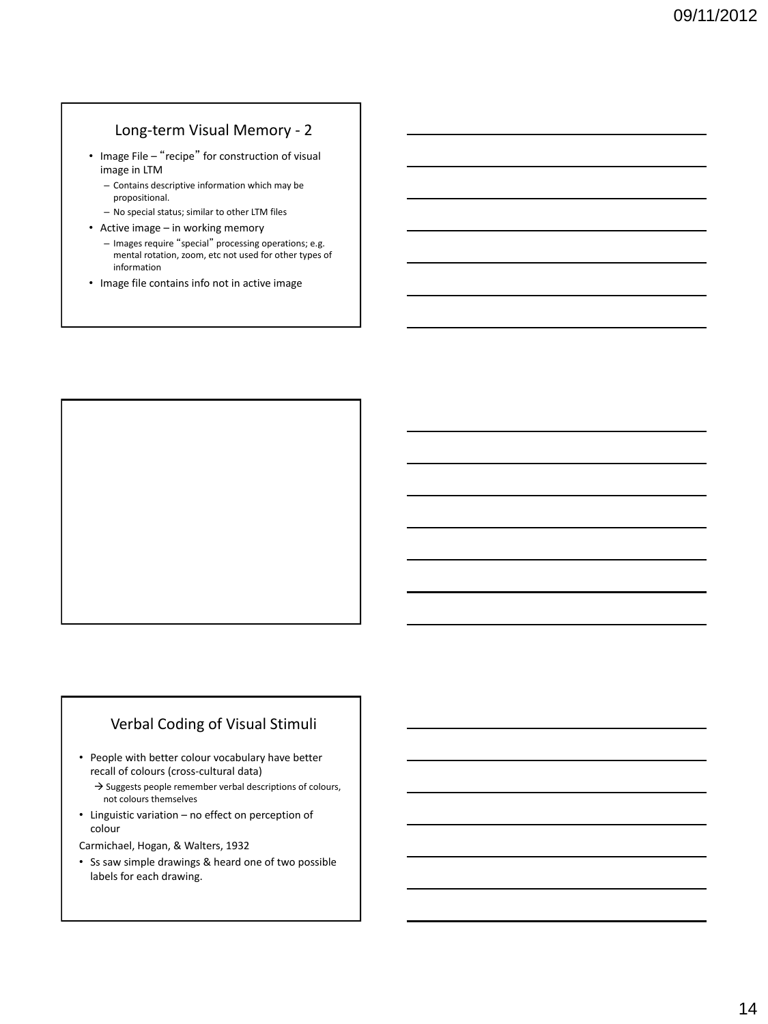#### Long-term Visual Memory - 2

- Image File "recipe" for construction of visual image in LTM
	- Contains descriptive information which may be propositional.
	- No special status; similar to other LTM files
- Active image in working memory
	- Images require "special" processing operations; e.g. mental rotation, zoom, etc not used for other types of information
- Image file contains info not in active image



#### Verbal Coding of Visual Stimuli

- People with better colour vocabulary have better recall of colours (cross-cultural data)
	- $\rightarrow$  Suggests people remember verbal descriptions of colours, not colours themselves
- Linguistic variation no effect on perception of colour

Carmichael, Hogan, & Walters, 1932

• Ss saw simple drawings & heard one of two possible labels for each drawing.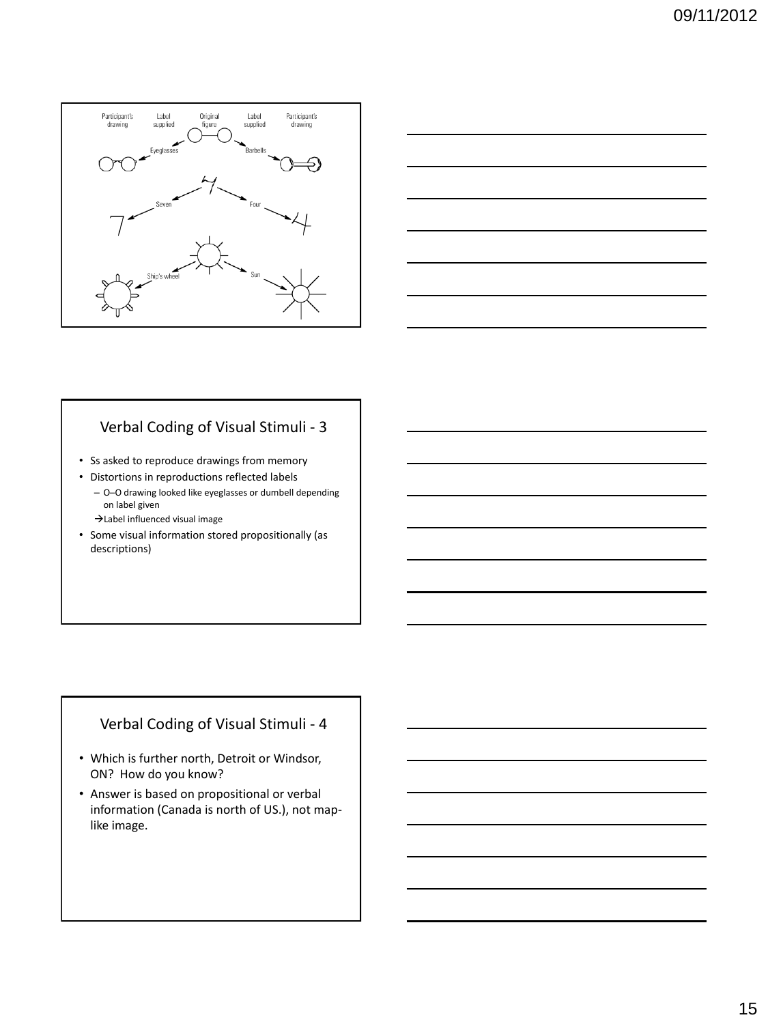



### Verbal Coding of Visual Stimuli - 3

- Ss asked to reproduce drawings from memory
- Distortions in reproductions reflected labels
	- O─O drawing looked like eyeglasses or dumbell depending on label given
	- $\rightarrow$  Label influenced visual image
- Some visual information stored propositionally (as descriptions)

### Verbal Coding of Visual Stimuli - 4

- Which is further north, Detroit or Windsor, ON? How do you know?
- Answer is based on propositional or verbal information (Canada is north of US.), not maplike image.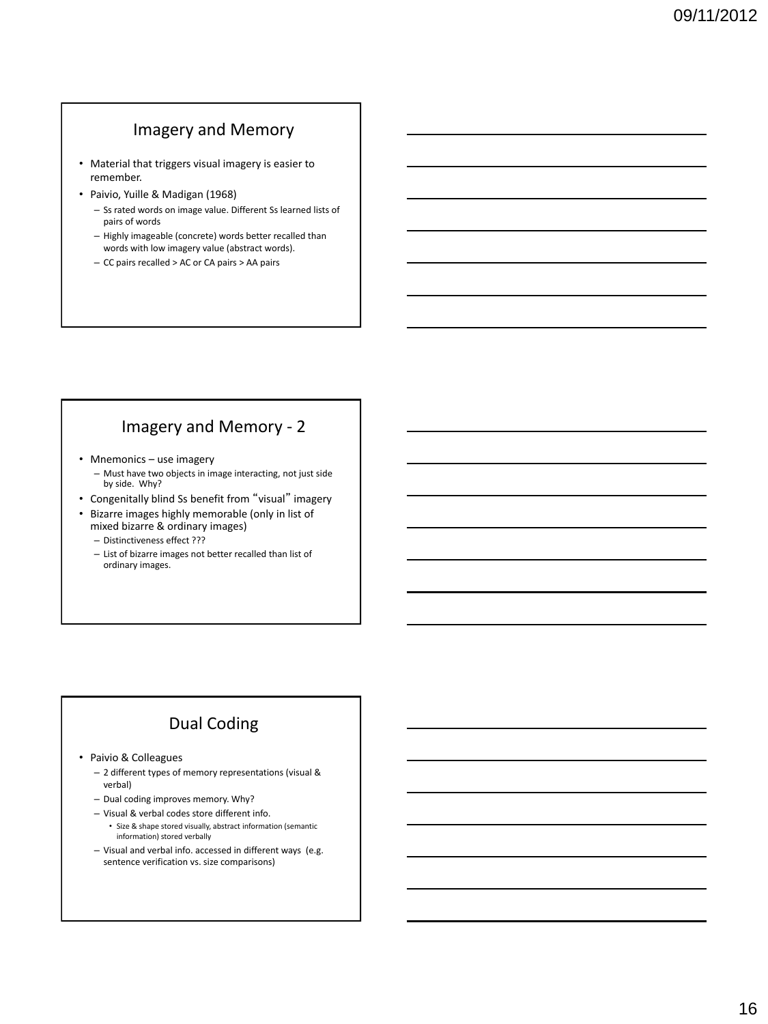# Imagery and Memory

- Material that triggers visual imagery is easier to remember.
- Paivio, Yuille & Madigan (1968)
	- Ss rated words on image value. Different Ss learned lists of pairs of words
	- Highly imageable (concrete) words better recalled than words with low imagery value (abstract words).
	- CC pairs recalled > AC or CA pairs > AA pairs

## Imagery and Memory - 2

- Mnemonics use imagery
	- Must have two objects in image interacting, not just side by side. Why?
- Congenitally blind Ss benefit from "visual" imagery
- Bizarre images highly memorable (only in list of mixed bizarre & ordinary images)
	- Distinctiveness effect ???
	- List of bizarre images not better recalled than list of ordinary images.

# Dual Coding

• Paivio & Colleagues

- 2 different types of memory representations (visual & verbal)
- Dual coding improves memory. Why?
- Visual & verbal codes store different info.
- Size & shape stored visually, abstract information (semantic information) stored verbally
- Visual and verbal info. accessed in different ways (e.g. sentence verification vs. size comparisons)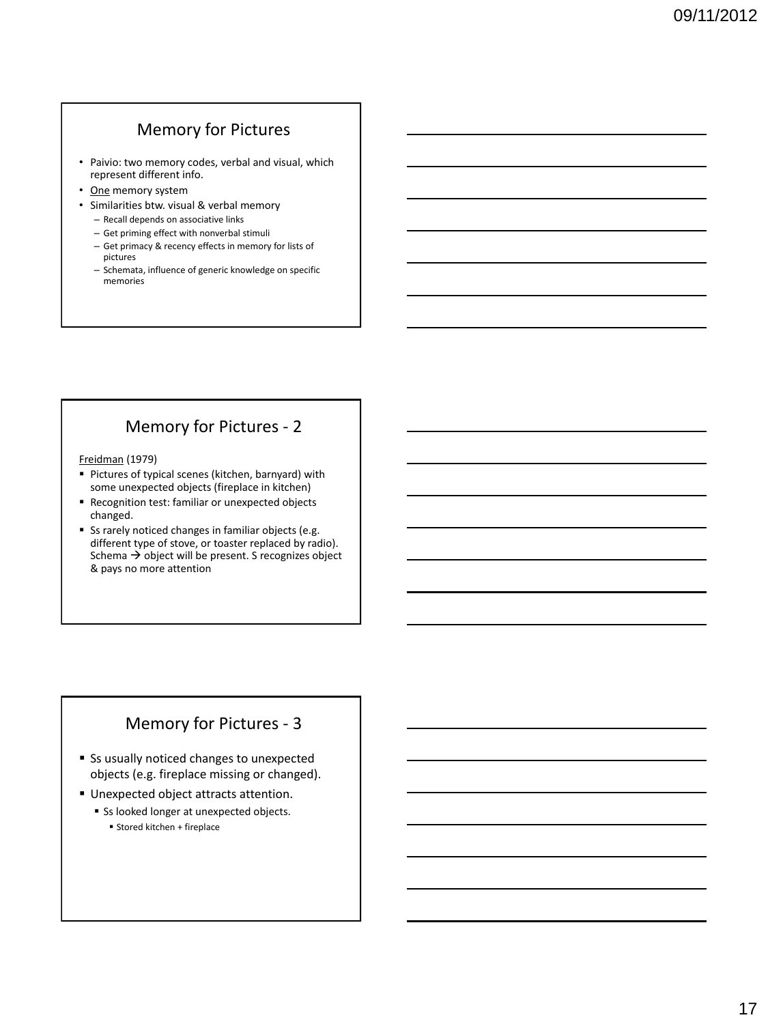# Memory for Pictures

- Paivio: two memory codes, verbal and visual, which represent different info.
- One memory system
- Similarities btw. visual & verbal memory
	- Recall depends on associative links
	- Get priming effect with nonverbal stimuli
	- Get primacy & recency effects in memory for lists of pictures
	- Schemata, influence of generic knowledge on specific memories

# Memory for Pictures - 2

Freidman (1979)

- Pictures of typical scenes (kitchen, barnyard) with some unexpected objects (fireplace in kitchen)
- **Recognition test: familiar or unexpected objects** changed.
- Ss rarely noticed changes in familiar objects (e.g. different type of stove, or toaster replaced by radio). Schema  $\rightarrow$  object will be present. S recognizes object & pays no more attention

### Memory for Pictures - 3

- Ss usually noticed changes to unexpected objects (e.g. fireplace missing or changed).
- **Unexpected object attracts attention.** 
	- Ss looked longer at unexpected objects. Stored kitchen + fireplace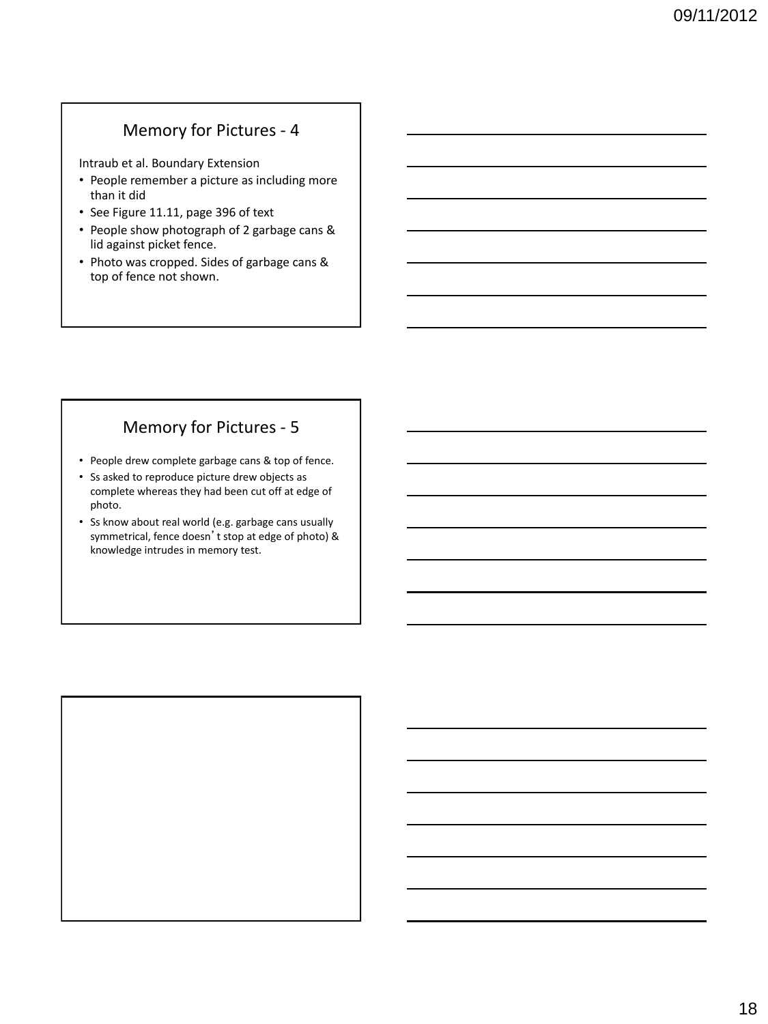## Memory for Pictures - 4

Intraub et al. Boundary Extension

- People remember a picture as including more than it did
- See Figure 11.11, page 396 of text
- People show photograph of 2 garbage cans & lid against picket fence.
- Photo was cropped. Sides of garbage cans & top of fence not shown.

# Memory for Pictures - 5

- People drew complete garbage cans & top of fence.
- Ss asked to reproduce picture drew objects as complete whereas they had been cut off at edge of photo.
- Ss know about real world (e.g. garbage cans usually symmetrical, fence doesn't stop at edge of photo) & knowledge intrudes in memory test.